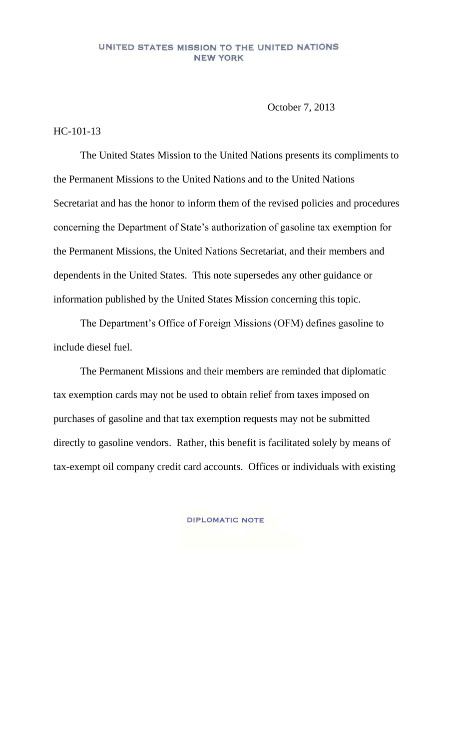## UNITED STATES MISSION TO THE UNITED NATIONS **NEW YORK**

October 7, 2013

## HC-101-13

The United States Mission to the United Nations presents its compliments to the Permanent Missions to the United Nations and to the United Nations Secretariat and has the honor to inform them of the revised policies and procedures concerning the Department of State's authorization of gasoline tax exemption for the Permanent Missions, the United Nations Secretariat, and their members and dependents in the United States. This note supersedes any other guidance or information published by the United States Mission concerning this topic.

The Department's Office of Foreign Missions (OFM) defines gasoline to include diesel fuel.

The Permanent Missions and their members are reminded that diplomatic tax exemption cards may not be used to obtain relief from taxes imposed on purchases of gasoline and that tax exemption requests may not be submitted directly to gasoline vendors. Rather, this benefit is facilitated solely by means of tax-exempt oil company credit card accounts. Offices or individuals with existing

**DIPLOMATIC NOTE**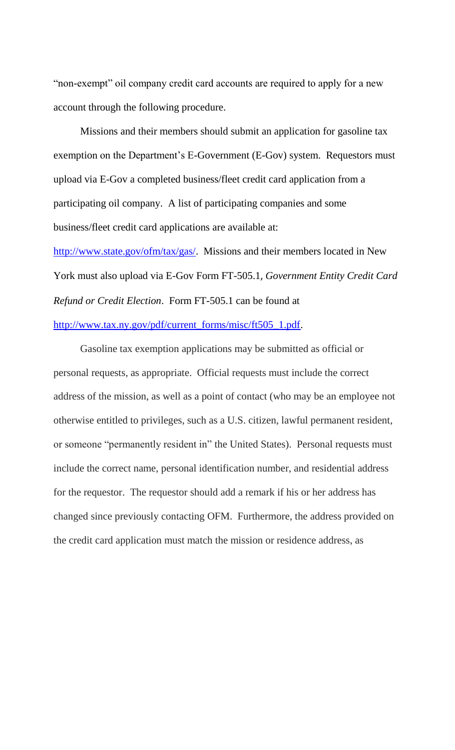"non-exempt" oil company credit card accounts are required to apply for a new account through the following procedure.

Missions and their members should submit an application for gasoline tax exemption on the Department's E-Government (E-Gov) system. Requestors must upload via E-Gov a completed business/fleet credit card application from a participating oil company. A list of participating companies and some business/fleet credit card applications are available at: [http://www.state.gov/ofm/tax/gas/.](http://www.state.gov/ofm/tax/gas/) Missions and their members located in New York must also upload via E-Gov Form FT-505.1, *Government Entity Credit Card* 

*Refund or Credit Election*. Form FT-505.1 can be found at

## [http://www.tax.ny.gov/pdf/current\\_forms/misc/ft505\\_1.pdf.](http://www.tax.ny.gov/pdf/current_forms/misc/ft505_1.pdf)

Gasoline tax exemption applications may be submitted as official or personal requests, as appropriate. Official requests must include the correct address of the mission, as well as a point of contact (who may be an employee not otherwise entitled to privileges, such as a U.S. citizen, lawful permanent resident, or someone "permanently resident in" the United States). Personal requests must include the correct name, personal identification number, and residential address for the requestor. The requestor should add a remark if his or her address has changed since previously contacting OFM. Furthermore, the address provided on the credit card application must match the mission or residence address, as